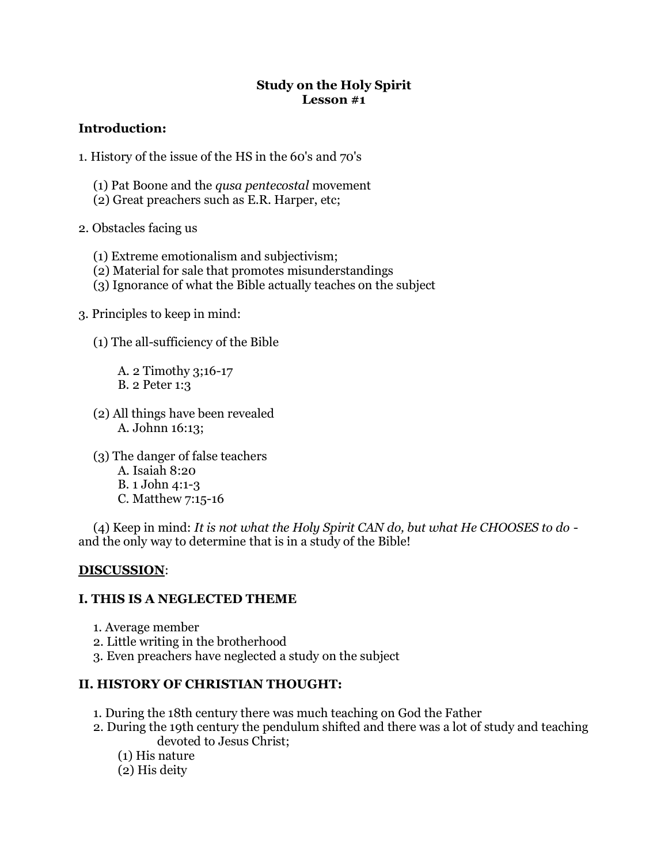### **Study on the Holy Spirit Lesson #1**

# **Introduction:**

- 1. History of the issue of the HS in the 60's and 70's
	- (1) Pat Boone and the *qusa pentecostal* movement
	- (2) Great preachers such as E.R. Harper, etc;
- 2. Obstacles facing us
	- (1) Extreme emotionalism and subjectivism;
	- (2) Material for sale that promotes misunderstandings
	- (3) Ignorance of what the Bible actually teaches on the subject
- 3. Principles to keep in mind:
	- (1) The all-sufficiency of the Bible

A. 2 Timothy 3;16-17 B. 2 Peter 1:3

- (2) All things have been revealed A. Johnn 16:13;
- (3) The danger of false teachers A. Isaiah 8:20 B. 1 John 4:1-3 C. Matthew 7:15-16

(4) Keep in mind: *It is not what the Holy Spirit CAN do, but what He CHOOSES to do* and the only way to determine that is in a study of the Bible!

# **DISCUSSION**:

# **I. THIS IS A NEGLECTED THEME**

- 1. Average member
- 2. Little writing in the brotherhood
- 3. Even preachers have neglected a study on the subject

# **II. HISTORY OF CHRISTIAN THOUGHT:**

- 1. During the 18th century there was much teaching on God the Father
- 2. During the 19th century the pendulum shifted and there was a lot of study and teaching devoted to Jesus Christ;
	- (1) His nature
	- (2) His deity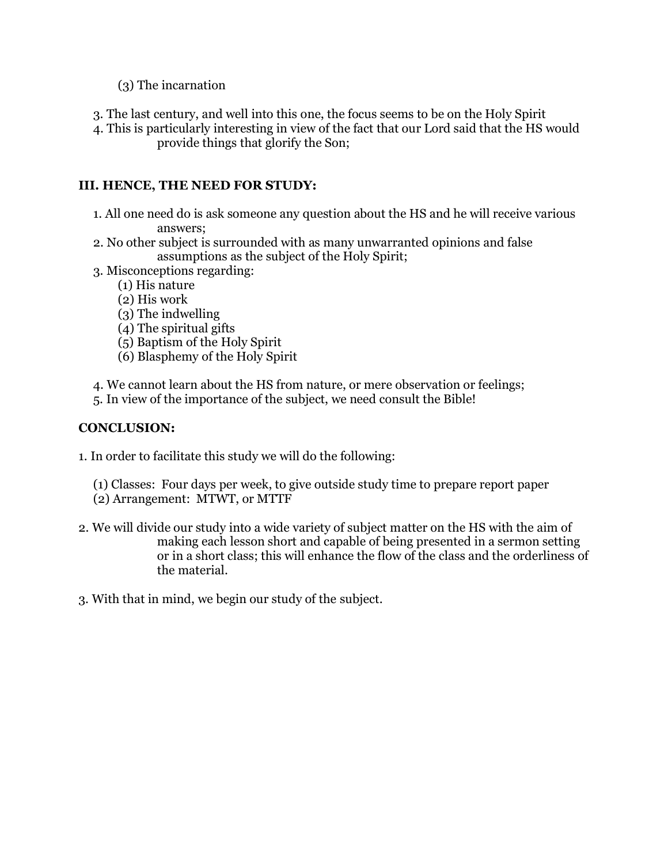- (3) The incarnation
- 3. The last century, and well into this one, the focus seems to be on the Holy Spirit
- 4. This is particularly interesting in view of the fact that our Lord said that the HS would provide things that glorify the Son;

# **III. HENCE, THE NEED FOR STUDY:**

- 1. All one need do is ask someone any question about the HS and he will receive various answers;
- 2. No other subject is surrounded with as many unwarranted opinions and false assumptions as the subject of the Holy Spirit;
- 3. Misconceptions regarding:
	- (1) His nature
	- (2) His work
	- (3) The indwelling
	- (4) The spiritual gifts
	- (5) Baptism of the Holy Spirit
	- (6) Blasphemy of the Holy Spirit
- 4. We cannot learn about the HS from nature, or mere observation or feelings;
- 5. In view of the importance of the subject, we need consult the Bible!

# **CONCLUSION:**

- 1. In order to facilitate this study we will do the following:
	- (1) Classes: Four days per week, to give outside study time to prepare report paper
	- (2) Arrangement: MTWT, or MTTF
- 2. We will divide our study into a wide variety of subject matter on the HS with the aim of making each lesson short and capable of being presented in a sermon setting or in a short class; this will enhance the flow of the class and the orderliness of the material.
- 3. With that in mind, we begin our study of the subject.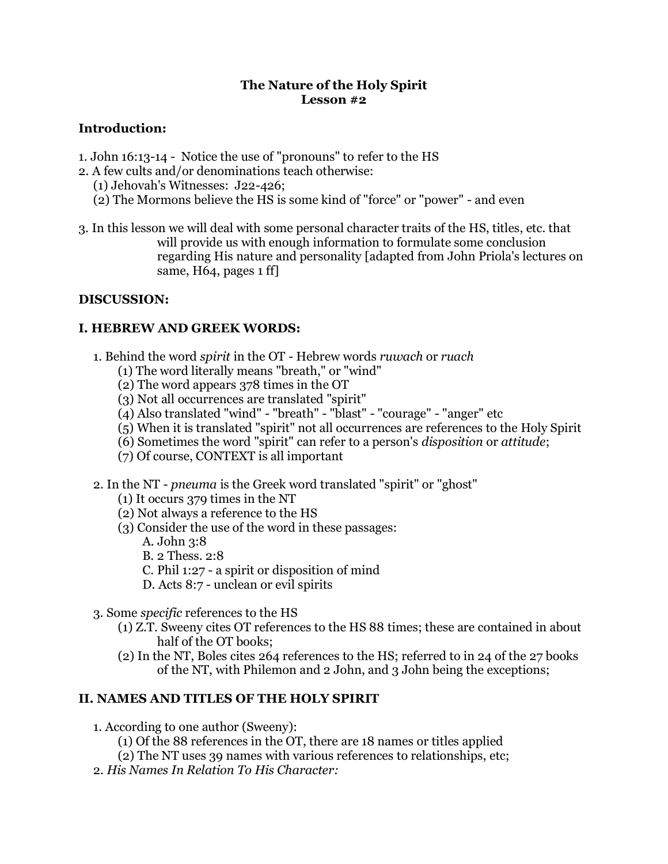### **The Nature of the Holy Spirit Lesson #2**

# **Introduction:**

- 1. John 16:13-14 Notice the use of "pronouns" to refer to the HS
- 2. A few cults and/or denominations teach otherwise:
	- (1) Jehovah's Witnesses: J22-426;
	- (2) The Mormons believe the HS is some kind of "force" or "power" and even
- 3. In this lesson we will deal with some personal character traits of the HS, titles, etc. that will provide us with enough information to formulate some conclusion regarding His nature and personality [adapted from John Priola's lectures on same, H64, pages 1 ff]

## **DISCUSSION:**

## **I. HEBREW AND GREEK WORDS:**

- 1. Behind the word *spirit* in the OT Hebrew words *ruwach* or *ruach*
	- (1) The word literally means "breath," or "wind"
	- (2) The word appears 378 times in the OT
	- (3) Not all occurrences are translated "spirit"
	- (4) Also translated "wind" "breath" "blast" "courage" "anger" etc
	- (5) When it is translated "spirit" not all occurrences are references to the Holy Spirit
	- (6) Sometimes the word "spirit" can refer to a person's *disposition* or *attitude*;
	- (7) Of course, CONTEXT is all important
- 2. In the NT *pneuma* is the Greek word translated "spirit" or "ghost"
	- (1) It occurs 379 times in the NT
	- (2) Not always a reference to the HS
	- (3) Consider the use of the word in these passages:
		- A. John 3:8
		- B. 2 Thess. 2:8
		- C. Phil 1:27 a spirit or disposition of mind
		- D. Acts 8:7 unclean or evil spirits
- 3. Some *specific* references to the HS
	- (1) Z.T. Sweeny cites OT references to the HS 88 times; these are contained in about half of the OT books;
	- (2) In the NT, Boles cites 264 references to the HS; referred to in 24 of the 27 books of the NT, with Philemon and 2 John, and 3 John being the exceptions;

# **II. NAMES AND TITLES OF THE HOLY SPIRIT**

- 1. According to one author (Sweeny):
	- (1) Of the 88 references in the OT, there are 18 names or titles applied
	- (2) The NT uses 39 names with various references to relationships, etc;
- 2. *His Names In Relation To His Character:*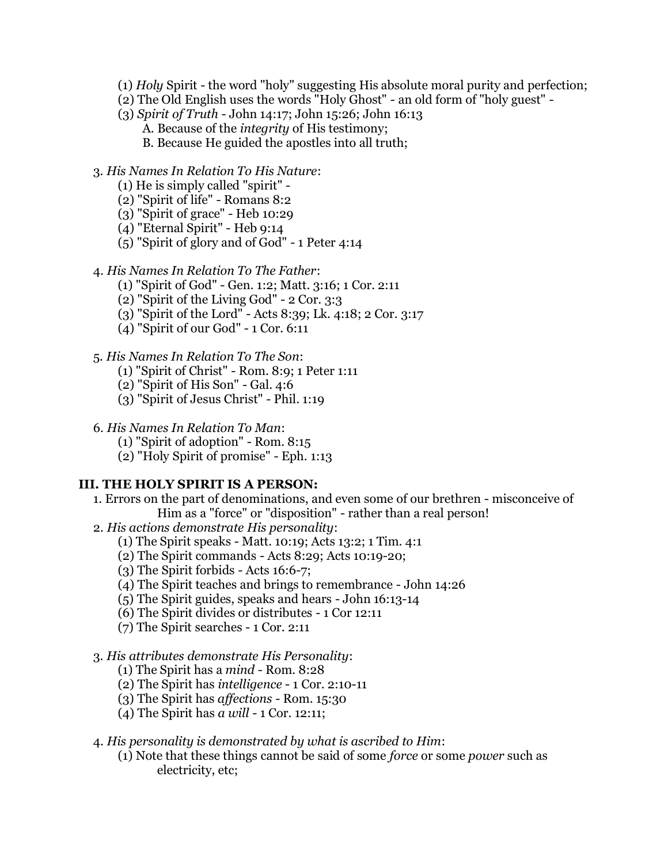- (1) *Holy* Spirit the word "holy" suggesting His absolute moral purity and perfection;
- (2) The Old English uses the words "Holy Ghost" an old form of "holy guest" -
- (3) *Spirit of Truth* John 14:17; John 15:26; John 16:13
	- A. Because of the *integrity* of His testimony;
	- B. Because He guided the apostles into all truth;

## 3. *His Names In Relation To His Nature*:

- (1) He is simply called "spirit" -
- (2) "Spirit of life" Romans 8:2
- (3) "Spirit of grace" Heb 10:29
- (4) "Eternal Spirit" Heb 9:14
- (5) "Spirit of glory and of God" 1 Peter 4:14
- 4. *His Names In Relation To The Father*:
	- (1) "Spirit of God" Gen. 1:2; Matt. 3:16; 1 Cor. 2:11
	- (2) "Spirit of the Living God" 2 Cor. 3:3
	- (3) "Spirit of the Lord" Acts 8:39; Lk. 4:18; 2 Cor. 3:17
	- (4) "Spirit of our God" 1 Cor. 6:11

## 5. *His Names In Relation To The Son*:

- (1) "Spirit of Christ" Rom. 8:9; 1 Peter 1:11
- (2) "Spirit of His Son" Gal. 4:6
- (3) "Spirit of Jesus Christ" Phil. 1:19
- 6. *His Names In Relation To Man*:
	- (1) "Spirit of adoption" Rom. 8:15
	- (2) "Holy Spirit of promise" Eph. 1:13

### **III. THE HOLY SPIRIT IS A PERSON:**

- 1. Errors on the part of denominations, and even some of our brethren misconceive of Him as a "force" or "disposition" - rather than a real person!
- 2. *His actions demonstrate His personality*:
	- (1) The Spirit speaks Matt. 10:19; Acts 13:2; 1 Tim. 4:1
	- (2) The Spirit commands Acts 8:29; Acts 10:19-20;
	- (3) The Spirit forbids Acts 16:6-7;
	- (4) The Spirit teaches and brings to remembrance John 14:26
	- (5) The Spirit guides, speaks and hears John 16:13-14
	- (6) The Spirit divides or distributes 1 Cor 12:11
	- (7) The Spirit searches 1 Cor. 2:11

# 3. *His attributes demonstrate His Personality*:

- (1) The Spirit has a *mind* Rom. 8:28
- (2) The Spirit has *intelligence* 1 Cor. 2:10-11
- (3) The Spirit has *affections* Rom. 15:30
- (4) The Spirit has *a will* 1 Cor. 12:11;
- 4. *His personality is demonstrated by what is ascribed to Him*:
	- (1) Note that these things cannot be said of some *force* or some *power* such as electricity, etc;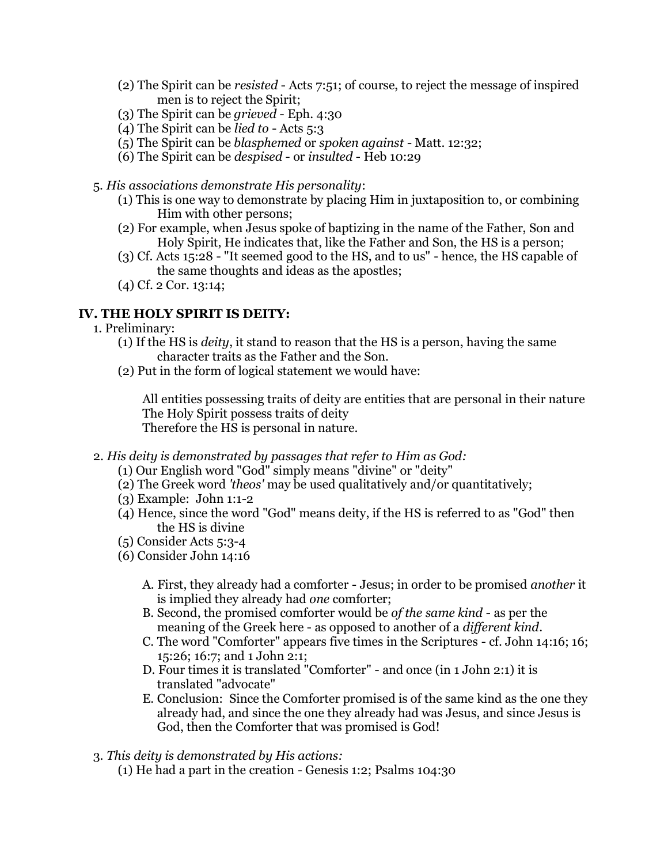- (2) The Spirit can be *resisted* Acts 7:51; of course, to reject the message of inspired men is to reject the Spirit;
- (3) The Spirit can be *grieved* Eph. 4:30
- (4) The Spirit can be *lied to* Acts 5:3
- (5) The Spirit can be *blasphemed* or *spoken against* Matt. 12:32;
- (6) The Spirit can be *despised* or *insulted* Heb 10:29
- 5. *His associations demonstrate His personality*:
	- (1) This is one way to demonstrate by placing Him in juxtaposition to, or combining Him with other persons;
	- (2) For example, when Jesus spoke of baptizing in the name of the Father, Son and Holy Spirit, He indicates that, like the Father and Son, the HS is a person;
	- (3) Cf. Acts 15:28 "It seemed good to the HS, and to us" hence, the HS capable of the same thoughts and ideas as the apostles;
	- (4) Cf. 2 Cor. 13:14;

# **IV. THE HOLY SPIRIT IS DEITY:**

- 1. Preliminary:
	- (1) If the HS is *deity*, it stand to reason that the HS is a person, having the same character traits as the Father and the Son.
	- (2) Put in the form of logical statement we would have:

All entities possessing traits of deity are entities that are personal in their nature The Holy Spirit possess traits of deity Therefore the HS is personal in nature.

- 2. *His deity is demonstrated by passages that refer to Him as God:*
	- (1) Our English word "God" simply means "divine" or "deity"
	- (2) The Greek word *'theos'* may be used qualitatively and/or quantitatively;
	- (3) Example: John 1:1-2
	- (4) Hence, since the word "God" means deity, if the HS is referred to as "God" then the HS is divine
	- (5) Consider Acts 5:3-4
	- (6) Consider John 14:16
		- A. First, they already had a comforter Jesus; in order to be promised *another* it is implied they already had *one* comforter;
		- B. Second, the promised comforter would be *of the same kind* as per the meaning of the Greek here - as opposed to another of a *different kind*.
		- C. The word "Comforter" appears five times in the Scriptures cf. John 14:16; 16; 15:26; 16:7; and 1 John 2:1;
		- D. Four times it is translated "Comforter" and once (in 1 John 2:1) it is translated "advocate"
		- E. Conclusion: Since the Comforter promised is of the same kind as the one they already had, and since the one they already had was Jesus, and since Jesus is God, then the Comforter that was promised is God!
- 3. *This deity is demonstrated by His actions:*
	- (1) He had a part in the creation Genesis 1:2; Psalms 104:30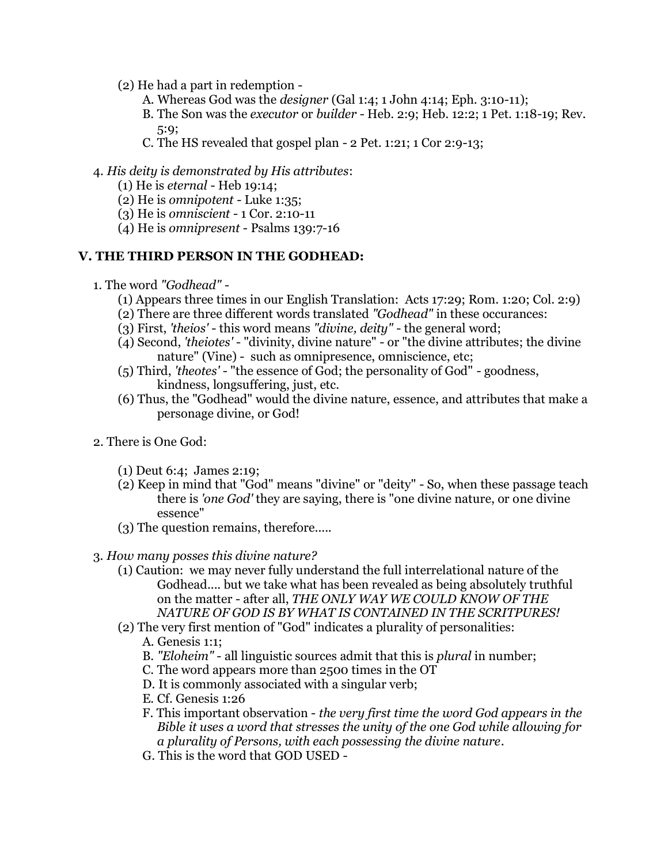- (2) He had a part in redemption
	- A. Whereas God was the *designer* (Gal 1:4; 1 John 4:14; Eph. 3:10-11);
	- B. The Son was the *executor* or *builder* Heb. 2:9; Heb. 12:2; 1 Pet. 1:18-19; Rev. 5:9;
	- C. The HS revealed that gospel plan 2 Pet. 1:21; 1 Cor 2:9-13;

### 4. *His deity is demonstrated by His attributes*:

- (1) He is *eternal* Heb 19:14;
- (2) He is *omnipotent* Luke 1:35;
- (3) He is *omniscient* 1 Cor. 2:10-11
- (4) He is *omnipresent* Psalms 139:7-16

#### **V. THE THIRD PERSON IN THE GODHEAD:**

- 1. The word *"Godhead"*
	- (1) Appears three times in our English Translation: Acts 17:29; Rom. 1:20; Col. 2:9)
	- (2) There are three different words translated *"Godhead"* in these occurances:
	- (3) First, *'theios'* this word means *"divine, deity"* the general word;
	- (4) Second, *'theiotes'* "divinity, divine nature" or "the divine attributes; the divine nature" (Vine) - such as omnipresence, omniscience, etc;
	- (5) Third, *'theotes'* "the essence of God; the personality of God" goodness, kindness, longsuffering, just, etc.
	- (6) Thus, the "Godhead" would the divine nature, essence, and attributes that make a personage divine, or God!
- 2. There is One God:
	- (1) Deut 6:4; James 2:19;
	- (2) Keep in mind that "God" means "divine" or "deity" So, when these passage teach there is *'one God'* they are saying, there is "one divine nature, or one divine essence"
	- (3) The question remains, therefore.....
- 3. *How many posses this divine nature?*
	- (1) Caution: we may never fully understand the full interrelational nature of the Godhead.... but we take what has been revealed as being absolutely truthful on the matter - after all, *THE ONLY WAY WE COULD KNOW OF THE NATURE OF GOD IS BY WHAT IS CONTAINED IN THE SCRITPURES!*
	- (2) The very first mention of "God" indicates a plurality of personalities: A. Genesis 1:1;
		- B. *"Eloheim"* all linguistic sources admit that this is *plural* in number;
		- C. The word appears more than 2500 times in the OT
		- D. It is commonly associated with a singular verb;
		- E. Cf. Genesis 1:26
		- F. This important observation *the very first time the word God appears in the Bible it uses a word that stresses the unity of the one God while allowing for a plurality of Persons, with each possessing the divine nature*.
		- G. This is the word that GOD USED -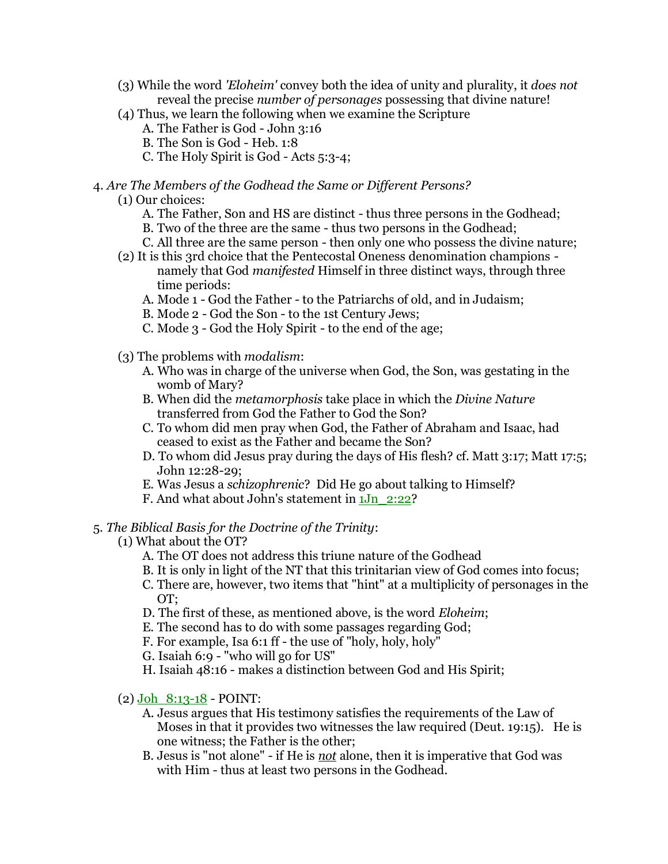- (3) While the word *'Eloheim'* convey both the idea of unity and plurality, it *does not* reveal the precise *number of personages* possessing that divine nature!
- (4) Thus, we learn the following when we examine the Scripture
	- A. The Father is God John 3:16
	- B. The Son is God Heb. 1:8
	- C. The Holy Spirit is God Acts 5:3-4;

### 4. *Are The Members of the Godhead the Same or Different Persons?*

- (1) Our choices:
	- A. The Father, Son and HS are distinct thus three persons in the Godhead;
	- B. Two of the three are the same thus two persons in the Godhead;
	- C. All three are the same person then only one who possess the divine nature;
- (2) It is this 3rd choice that the Pentecostal Oneness denomination champions namely that God *manifested* Himself in three distinct ways, through three time periods:
	- A. Mode 1 God the Father to the Patriarchs of old, and in Judaism;
	- B. Mode 2 God the Son to the 1st Century Jews;
	- C. Mode 3 God the Holy Spirit to the end of the age;
- (3) The problems with *modalism*:
	- A. Who was in charge of the universe when God, the Son, was gestating in the womb of Mary?
	- B. When did the *metamorphosis* take place in which the *Divine Nature* transferred from God the Father to God the Son?
	- C. To whom did men pray when God, the Father of Abraham and Isaac, had ceased to exist as the Father and became the Son?
	- D. To whom did Jesus pray during the days of His flesh? cf. Matt 3:17; Matt 17:5; John 12:28-29;
	- E. Was Jesus a *schizophrenic*? Did He go about talking to Himself?
	- F. And what about John's statement in 1Jn\_2:22?

# 5. *The Biblical Basis for the Doctrine of the Trinity*:

- (1) What about the OT?
	- A. The OT does not address this triune nature of the Godhead
	- B. It is only in light of the NT that this trinitarian view of God comes into focus;
	- C. There are, however, two items that "hint" at a multiplicity of personages in the OT;
	- D. The first of these, as mentioned above, is the word *Eloheim*;
	- E. The second has to do with some passages regarding God;
	- F. For example, Isa 6:1 ff the use of "holy, holy, holy"
	- G. Isaiah 6:9 "who will go for US"
	- H. Isaiah 48:16 makes a distinction between God and His Spirit;
- $(2)$  Joh  $8:13-18$  POINT:
	- A. Jesus argues that His testimony satisfies the requirements of the Law of Moses in that it provides two witnesses the law required (Deut. 19:15). He is one witness; the Father is the other;
	- B. Jesus is "not alone" if He is *not* alone, then it is imperative that God was with Him - thus at least two persons in the Godhead.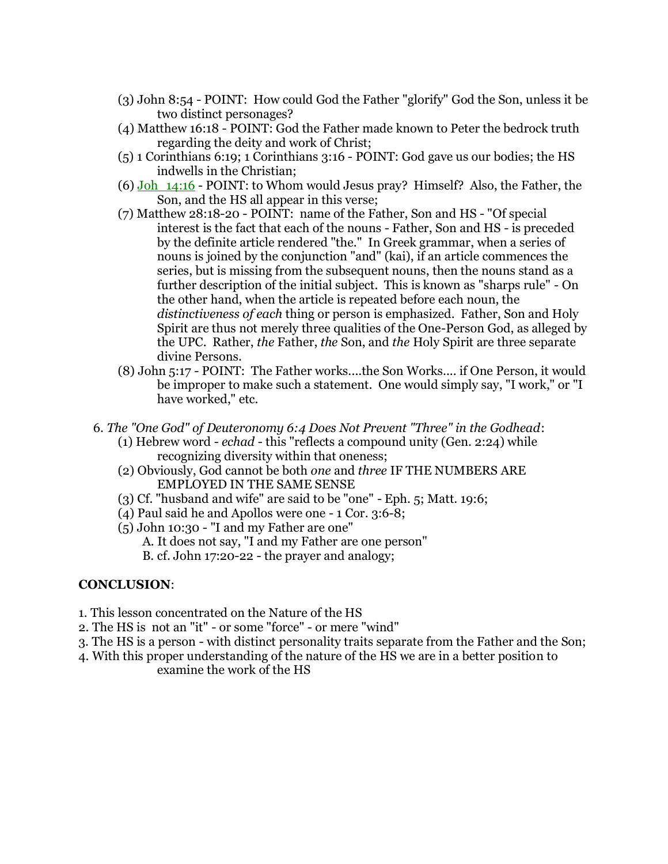- (3) John 8:54 POINT: How could God the Father "glorify" God the Son, unless it be two distinct personages?
- (4) Matthew 16:18 POINT: God the Father made known to Peter the bedrock truth regarding the deity and work of Christ;
- (5) 1 Corinthians 6:19; 1 Corinthians 3:16 POINT: God gave us our bodies; the HS indwells in the Christian;
- (6)  $Joh_14:16$  POINT: to Whom would Jesus pray? Himself? Also, the Father, the Son, and the HS all appear in this verse;
- (7) Matthew 28:18-20 POINT: name of the Father, Son and HS "Of special interest is the fact that each of the nouns - Father, Son and HS - is preceded by the definite article rendered "the." In Greek grammar, when a series of nouns is joined by the conjunction "and" (kai), if an article commences the series, but is missing from the subsequent nouns, then the nouns stand as a further description of the initial subject. This is known as "sharps rule" - On the other hand, when the article is repeated before each noun, the *distinctiveness of each* thing or person is emphasized. Father, Son and Holy Spirit are thus not merely three qualities of the One-Person God, as alleged by the UPC. Rather, *the* Father, *the* Son, and *the* Holy Spirit are three separate divine Persons.
- (8) John 5:17 POINT: The Father works....the Son Works.... if One Person, it would be improper to make such a statement. One would simply say, "I work," or "I have worked," etc.
- 6. *The "One God" of Deuteronomy 6:4 Does Not Prevent "Three" in the Godhead*:
	- (1) Hebrew word *echad* this "reflects a compound unity (Gen. 2:24) while recognizing diversity within that oneness;
	- (2) Obviously, God cannot be both *one* and *three* IF THE NUMBERS ARE EMPLOYED IN THE SAME SENSE
	- (3) Cf. "husband and wife" are said to be "one" Eph. 5; Matt. 19:6;
	- (4) Paul said he and Apollos were one 1 Cor. 3:6-8;
	- (5) John 10:30 "I and my Father are one"
		- A. It does not say, "I and my Father are one person"
		- B. cf. John 17:20-22 the prayer and analogy;

### **CONCLUSION**:

- 1. This lesson concentrated on the Nature of the HS
- 2. The HS is not an "it" or some "force" or mere "wind"
- 3. The HS is a person with distinct personality traits separate from the Father and the Son;
- 4. With this proper understanding of the nature of the HS we are in a better position to examine the work of the HS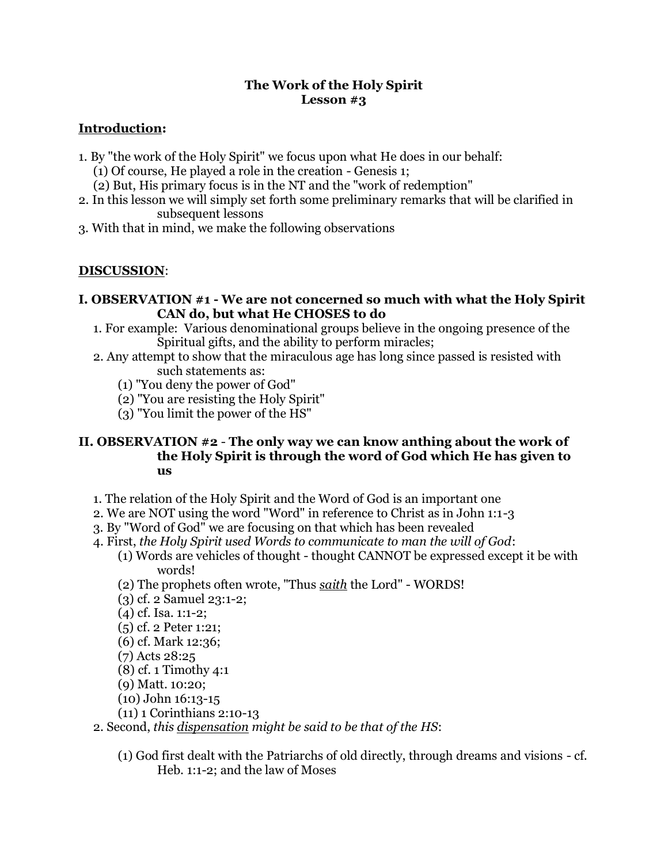## **The Work of the Holy Spirit Lesson #3**

# **Introduction:**

- 1. By "the work of the Holy Spirit" we focus upon what He does in our behalf:
	- (1) Of course, He played a role in the creation Genesis 1;
	- (2) But, His primary focus is in the NT and the "work of redemption"
- 2. In this lesson we will simply set forth some preliminary remarks that will be clarified in subsequent lessons
- 3. With that in mind, we make the following observations

# **DISCUSSION**:

- **I. OBSERVATION #1 - We are not concerned so much with what the Holy Spirit CAN do, but what He CHOSES to do**
	- 1. For example: Various denominational groups believe in the ongoing presence of the Spiritual gifts, and the ability to perform miracles;
	- 2. Any attempt to show that the miraculous age has long since passed is resisted with such statements as:
		- (1) "You deny the power of God"
		- (2) "You are resisting the Holy Spirit"
		- (3) "You limit the power of the HS"

## **II. OBSERVATION #2** - **The only way we can know anthing about the work of the Holy Spirit is through the word of God which He has given to us**

- 1. The relation of the Holy Spirit and the Word of God is an important one
- 2. We are NOT using the word "Word" in reference to Christ as in John 1:1-3
- 3. By "Word of God" we are focusing on that which has been revealed
- 4. First, *the Holy Spirit used Words to communicate to man the will of God*:
	- (1) Words are vehicles of thought thought CANNOT be expressed except it be with words!
	- (2) The prophets often wrote, "Thus *saith* the Lord" WORDS!
	- (3) cf. 2 Samuel 23:1-2;
	- (4) cf. Isa. 1:1-2;
	- (5) cf. 2 Peter 1:21;
	- (6) cf. Mark 12:36;
	- (7) Acts 28:25
	- (8) cf. 1 Timothy 4:1
	- (9) Matt. 10:20;
	- (10) John 16:13-15
	- (11) 1 Corinthians 2:10-13
- 2. Second, *this dispensation might be said to be that of the HS*:
	- (1) God first dealt with the Patriarchs of old directly, through dreams and visions cf. Heb. 1:1-2; and the law of Moses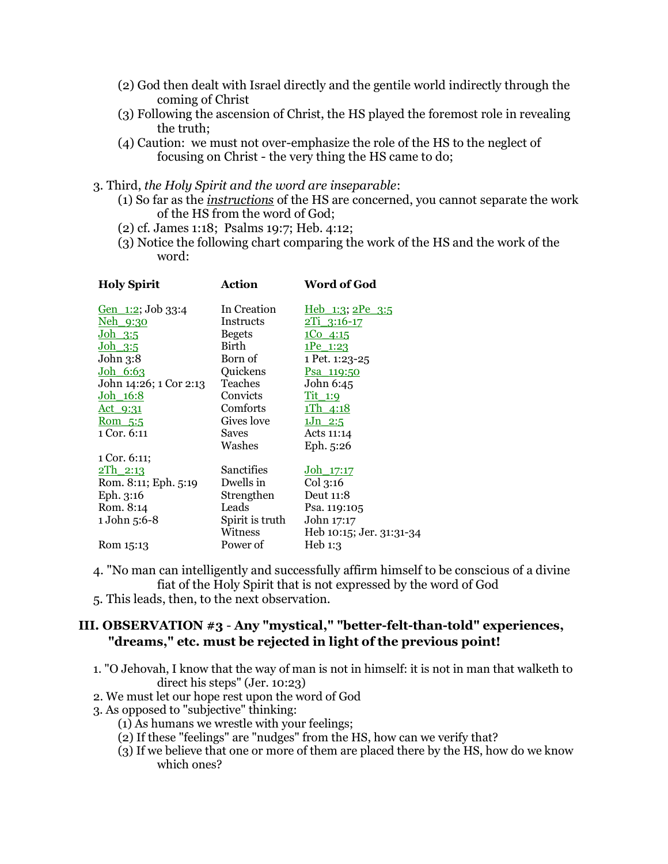- (2) God then dealt with Israel directly and the gentile world indirectly through the coming of Christ
- (3) Following the ascension of Christ, the HS played the foremost role in revealing the truth;
- (4) Caution: we must not over-emphasize the role of the HS to the neglect of focusing on Christ - the very thing the HS came to do;

#### 3. Third, *the Holy Spirit and the word are inseparable*:

- (1) So far as the *instructions* of the HS are concerned, you cannot separate the work of the HS from the word of God;
- (2) cf. James 1:18; Psalms 19:7; Heb. 4:12;
- (3) Notice the following chart comparing the work of the HS and the work of the word:

| <b>Holy Spirit</b>        | Action            | Word of God              |
|---------------------------|-------------------|--------------------------|
| <u>Gen 1:2</u> ; Job 33:4 | In Creation       | <u>Heb 1:3; 2Pe 3:5</u>  |
| <u>Neh 9:30</u>           | Instructs         | <u>2Ti 3:16-17</u>       |
| $Joh$ 3:5                 | <b>Begets</b>     | 1004:15                  |
| <u>Joh 3:5</u>            | Birth             | <u>1Pe 1:23</u>          |
| John 3:8                  | Born of           | 1 Pet. 1:23-25           |
| <u>Joh 6:63</u>           | Quickens          | <u>Psa 119:50</u>        |
| John 14:26; 1 Cor 2:13    | Teaches           | John 6:45                |
| <u>Joh 16:8</u>           | Convicts          | <u>Tit 1:9</u>           |
| <u>Act 9:31</u>           | Comforts          | <u>1Th 4:18</u>          |
| <u>Rom 5:5</u>            | Gives love        | $1Jn$ 2:5                |
| 1 Cor. 6:11               | Saves             | Acts 11:14               |
|                           | Washes            | Eph. 5:26                |
| 1 Cor. 6:11;              |                   |                          |
| <u>2Th 2:13</u>           | <b>Sanctifies</b> | <u>Joh 17:17</u>         |
| Rom. 8:11; Eph. 5:19      | Dwells in         | Col 3:16                 |
| Eph. 3:16                 | Strengthen        | Deut 11:8                |
| Rom. 8:14                 | Leads             | Psa. 119:105             |
| 1 John 5:6-8              | Spirit is truth   | John 17:17               |
|                           | Witness           | Heb 10:15; Jer. 31:31-34 |
| Rom 15:13                 | Power of          | Heb 1:3                  |
|                           |                   |                          |

- 4. "No man can intelligently and successfully affirm himself to be conscious of a divine fiat of the Holy Spirit that is not expressed by the word of God
- 5. This leads, then, to the next observation.

# **III. OBSERVATION #3** - **Any "mystical," "better-felt-than-told" experiences, "dreams," etc. must be rejected in light of the previous point!**

- 1. "O Jehovah, I know that the way of man is not in himself: it is not in man that walketh to direct his steps" (Jer. 10:23)
- 2. We must let our hope rest upon the word of God
- 3. As opposed to "subjective" thinking:
	- (1) As humans we wrestle with your feelings;
	- (2) If these "feelings" are "nudges" from the HS, how can we verify that?
	- (3) If we believe that one or more of them are placed there by the HS, how do we know which ones?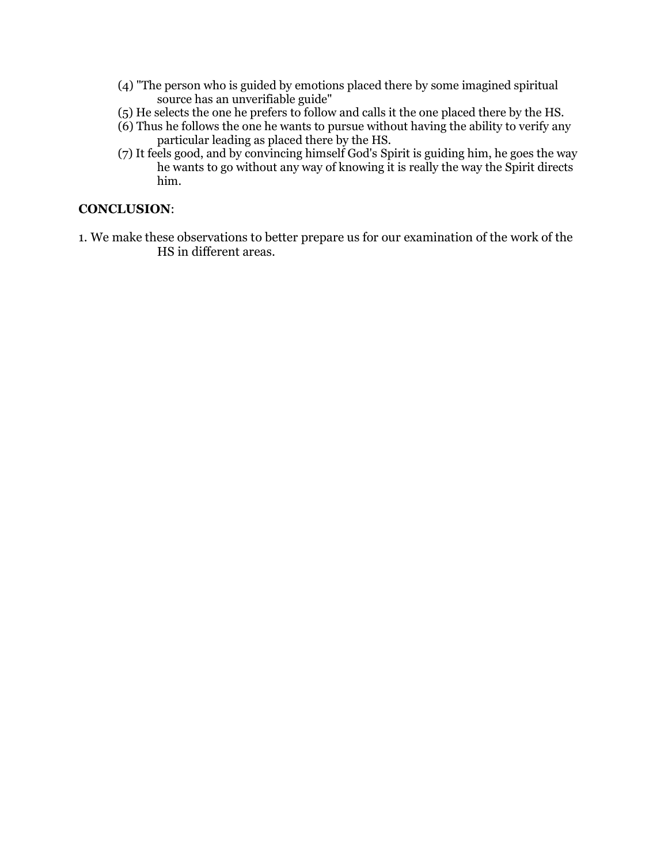- (4) "The person who is guided by emotions placed there by some imagined spiritual source has an unverifiable guide"
- (5) He selects the one he prefers to follow and calls it the one placed there by the HS.
- (6) Thus he follows the one he wants to pursue without having the ability to verify any particular leading as placed there by the HS.
- (7) It feels good, and by convincing himself God's Spirit is guiding him, he goes the way he wants to go without any way of knowing it is really the way the Spirit directs him.

## **CONCLUSION**:

1. We make these observations to better prepare us for our examination of the work of the HS in different areas.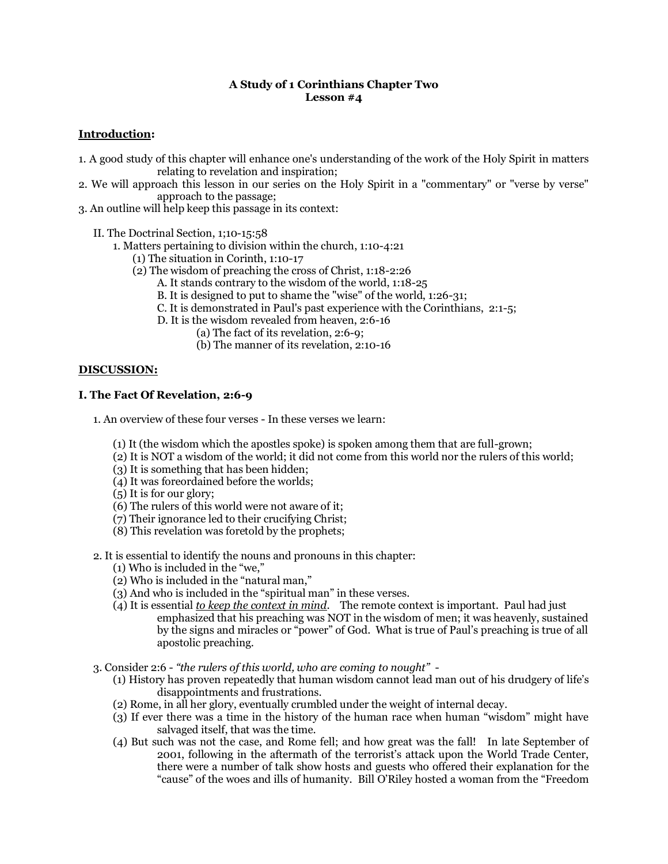#### **A Study of 1 Corinthians Chapter Two Lesson #4**

#### **Introduction:**

- 1. A good study of this chapter will enhance one's understanding of the work of the Holy Spirit in matters relating to revelation and inspiration;
- 2. We will approach this lesson in our series on the Holy Spirit in a "commentary" or "verse by verse" approach to the passage;
- 3. An outline will help keep this passage in its context:
	- II. The Doctrinal Section, 1;10-15:58
		- 1. Matters pertaining to division within the church, 1:10-4:21
			- (1) The situation in Corinth, 1:10-17
			- (2) The wisdom of preaching the cross of Christ, 1:18-2:26
				- A. It stands contrary to the wisdom of the world, 1:18-25
				- B. It is designed to put to shame the "wise" of the world, 1:26-31;
				- C. It is demonstrated in Paul's past experience with the Corinthians, 2:1-5;
				- D. It is the wisdom revealed from heaven, 2:6-16
					- (a) The fact of its revelation, 2:6-9;
					- (b) The manner of its revelation, 2:10-16

#### **DISCUSSION:**

#### **I. The Fact Of Revelation, 2:6-9**

- 1. An overview of these four verses In these verses we learn:
	- (1) It (the wisdom which the apostles spoke) is spoken among them that are full-grown;
	- (2) It is NOT a wisdom of the world; it did not come from this world nor the rulers of this world;
	- (3) It is something that has been hidden;
	- (4) It was foreordained before the worlds;
	- (5) It is for our glory;
	- (6) The rulers of this world were not aware of it;
	- (7) Their ignorance led to their crucifying Christ;
	- (8) This revelation was foretold by the prophets;
- 2. It is essential to identify the nouns and pronouns in this chapter:
	- (1) Who is included in the "we,"
	- (2) Who is included in the "natural man,"
	- (3) And who is included in the "spiritual man" in these verses.
	- (4) It is essential *to keep the context in mind*. The remote context is important. Paul had just emphasized that his preaching was NOT in the wisdom of men; it was heavenly, sustained by the signs and miracles or "power" of God. What is true of Paul's preaching is true of all apostolic preaching.
- 3. Consider 2:6 *"the rulers of this world, who are coming to nought"*
	- (1) History has proven repeatedly that human wisdom cannot lead man out of his drudgery of life's disappointments and frustrations.
	- (2) Rome, in all her glory, eventually crumbled under the weight of internal decay.
	- (3) If ever there was a time in the history of the human race when human "wisdom" might have salvaged itself, that was the time.
	- (4) But such was not the case, and Rome fell; and how great was the fall! In late September of 2001, following in the aftermath of the terrorist's attack upon the World Trade Center, there were a number of talk show hosts and guests who offered their explanation for the "cause" of the woes and ills of humanity. Bill O'Riley hosted a woman from the "Freedom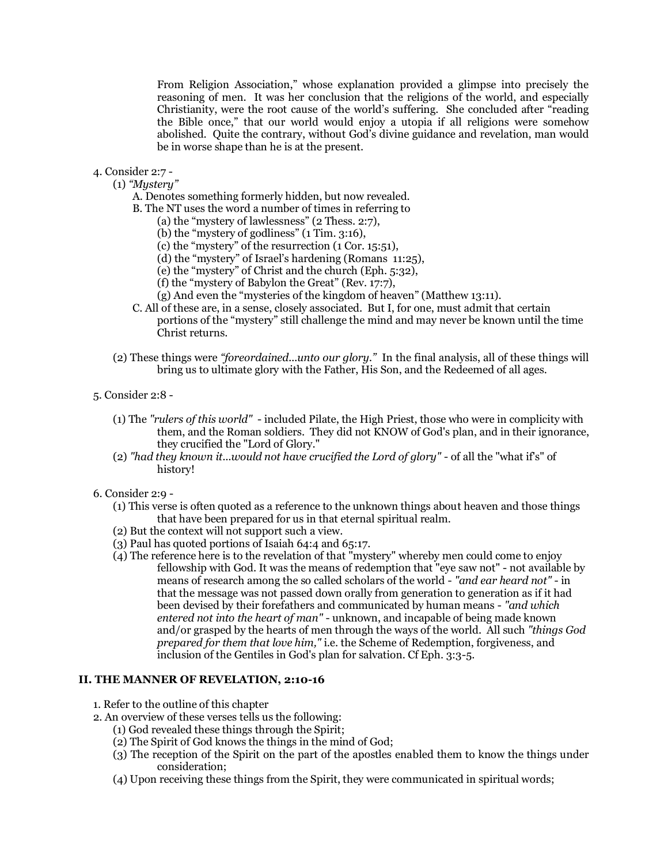From Religion Association," whose explanation provided a glimpse into precisely the reasoning of men. It was her conclusion that the religions of the world, and especially Christianity, were the root cause of the world's suffering. She concluded after "reading the Bible once," that our world would enjoy a utopia if all religions were somehow abolished. Quite the contrary, without God's divine guidance and revelation, man would be in worse shape than he is at the present.

- 4. Consider 2:7
	- (1) *"Mystery"*
		- A. Denotes something formerly hidden, but now revealed.
		- B. The NT uses the word a number of times in referring to
			- (a) the "mystery of lawlessness" (2 Thess. 2:7),
			- (b) the "mystery of godliness" (1 Tim. 3:16),
			- (c) the "mystery" of the resurrection (1 Cor. 15:51),
			- (d) the "mystery" of Israel's hardening (Romans 11:25),
			- (e) the "mystery" of Christ and the church (Eph. 5:32),
			- (f) the "mystery of Babylon the Great" (Rev. 17:7),
			- (g) And even the "mysteries of the kingdom of heaven" (Matthew 13:11).
		- C. All of these are, in a sense, closely associated. But I, for one, must admit that certain portions of the "mystery" still challenge the mind and may never be known until the time Christ returns.
	- (2) These things were *"foreordained...unto our glory."* In the final analysis, all of these things will bring us to ultimate glory with the Father, His Son, and the Redeemed of all ages.
- 5. Consider 2:8
	- (1) The *"rulers of this world"* included Pilate, the High Priest, those who were in complicity with them, and the Roman soldiers. They did not KNOW of God's plan, and in their ignorance, they crucified the "Lord of Glory."
	- (2) *"had they known it...would not have crucified the Lord of glory"* of all the "what if's" of history!
- 6. Consider 2:9
	- (1) This verse is often quoted as a reference to the unknown things about heaven and those things that have been prepared for us in that eternal spiritual realm.
	- (2) But the context will not support such a view.
	- (3) Paul has quoted portions of Isaiah 64:4 and 65:17.
	- (4) The reference here is to the revelation of that "mystery" whereby men could come to enjoy fellowship with God. It was the means of redemption that "eye saw not" - not available by means of research among the so called scholars of the world - *"and ear heard not"* - in that the message was not passed down orally from generation to generation as if it had been devised by their forefathers and communicated by human means - *"and which entered not into the heart of man"* - unknown, and incapable of being made known and/or grasped by the hearts of men through the ways of the world. All such *"things God prepared for them that love him,"* i.e. the Scheme of Redemption, forgiveness, and inclusion of the Gentiles in God's plan for salvation. Cf Eph. 3:3-5.

#### **II. THE MANNER OF REVELATION, 2:10-16**

- 1. Refer to the outline of this chapter
- 2. An overview of these verses tells us the following:
	- (1) God revealed these things through the Spirit;
	- (2) The Spirit of God knows the things in the mind of God;
	- (3) The reception of the Spirit on the part of the apostles enabled them to know the things under consideration;
	- (4) Upon receiving these things from the Spirit, they were communicated in spiritual words;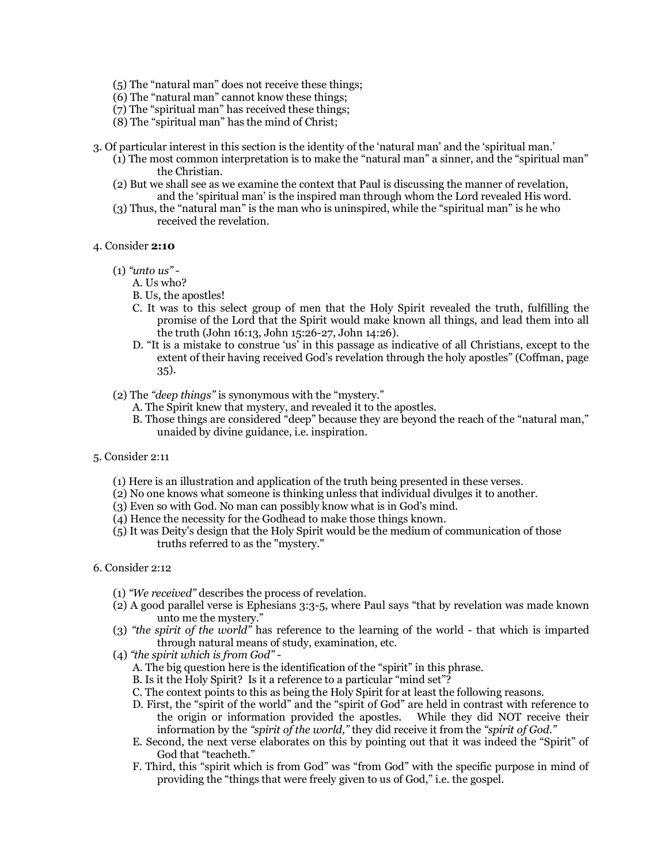- (5) The "natural man" does not receive these things;
- (6) The "natural man" cannot know these things;
- (7) The "spiritual man" has received these things;
- (8) The "spiritual man" has the mind of Christ;
- 3. Of particular interest in this section is the identity of the 'natural man' and the 'spiritual man.'
	- (1) The most common interpretation is to make the "natural man" a sinner, and the "spiritual man" the Christian.
	- (2) But we shall see as we examine the context that Paul is discussing the manner of revelation, and the 'spiritual man' is the inspired man through whom the Lord revealed His word.
	- (3) Thus, the "natural man" is the man who is uninspired, while the "spiritual man" is he who received the revelation.

#### 4. Consider **2:10**

- (1) *"unto us"*
	- A. Us who?
	- B. Us, the apostles!
	- C. It was to this select group of men that the Holy Spirit revealed the truth, fulfilling the promise of the Lord that the Spirit would make known all things, and lead them into all the truth (John 16:13, John 15:26-27, John 14:26).
	- D. "It is a mistake to construe 'us' in this passage as indicative of all Christians, except to the extent of their having received God's revelation through the holy apostles" (Coffman, page 35).
- (2) The *"deep things"* is synonymous with the "mystery."
	- A. The Spirit knew that mystery, and revealed it to the apostles.
	- B. Those things are considered "deep" because they are beyond the reach of the "natural man," unaided by divine guidance, i.e. inspiration.
- 5. Consider 2:11
	- (1) Here is an illustration and application of the truth being presented in these verses.
	- (2) No one knows what someone is thinking unless that individual divulges it to another.
	- (3) Even so with God. No man can possibly know what is in God's mind.
	- (4) Hence the necessity for the Godhead to make those things known.
	- (5) It was Deity's design that the Holy Spirit would be the medium of communication of those truths referred to as the "mystery."
- 6. Consider 2:12
	- (1) *"We received"* describes the process of revelation.
	- (2) A good parallel verse is Ephesians 3:3-5, where Paul says "that by revelation was made known unto me the mystery."
	- (3) *"the spirit of the world"* has reference to the learning of the world that which is imparted through natural means of study, examination, etc.
	- (4) *"the spirit which is from God"*
		- A. The big question here is the identification of the "spirit" in this phrase.
		- B. Is it the Holy Spirit? Is it a reference to a particular "mind set"?
		- C. The context points to this as being the Holy Spirit for at least the following reasons.
		- D. First, the "spirit of the world" and the "spirit of God" are held in contrast with reference to the origin or information provided the apostles. While they did NOT receive their information by the *"spirit of the world,"* they did receive it from the *"spirit of God."*
		- E. Second, the next verse elaborates on this by pointing out that it was indeed the "Spirit" of God that "teacheth."
		- F. Third, this "spirit which is from God" was "from God" with the specific purpose in mind of providing the "things that were freely given to us of God," i.e. the gospel.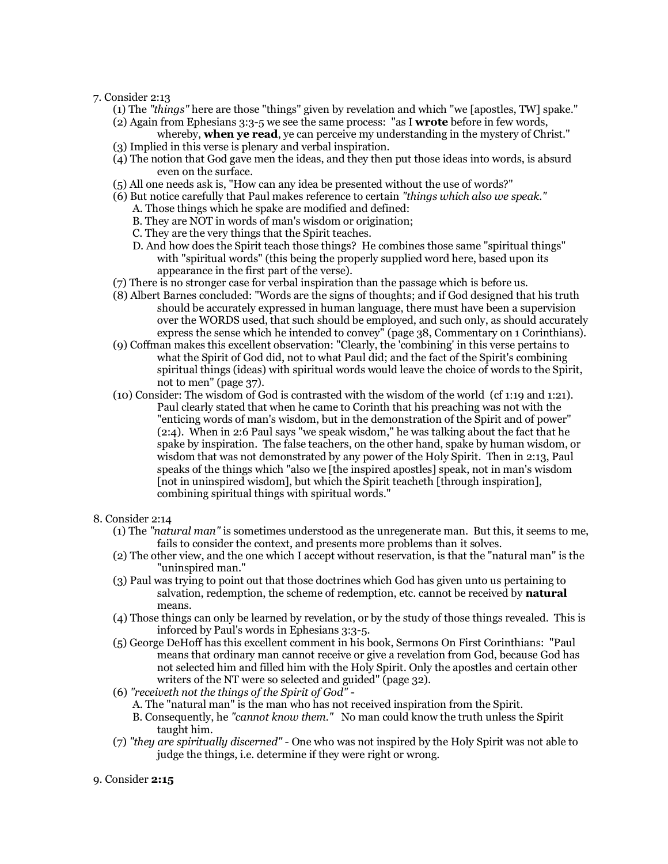#### 7. Consider 2:13

- (1) The *"things"* here are those "things" given by revelation and which "we [apostles, TW] spake."
- (2) Again from Ephesians 3:3-5 we see the same process: "as I **wrote** before in few words, whereby, **when ye read**, ye can perceive my understanding in the mystery of Christ."
- (3) Implied in this verse is plenary and verbal inspiration.
- (4) The notion that God gave men the ideas, and they then put those ideas into words, is absurd even on the surface.
- (5) All one needs ask is, "How can any idea be presented without the use of words?"
- (6) But notice carefully that Paul makes reference to certain *"things which also we speak."*
	- A. Those things which he spake are modified and defined:
	- B. They are NOT in words of man's wisdom or origination;
	- C. They are the very things that the Spirit teaches.
	- D. And how does the Spirit teach those things? He combines those same "spiritual things" with "spiritual words" (this being the properly supplied word here, based upon its appearance in the first part of the verse).
- (7) There is no stronger case for verbal inspiration than the passage which is before us.
- (8) Albert Barnes concluded: "Words are the signs of thoughts; and if God designed that his truth should be accurately expressed in human language, there must have been a supervision over the WORDS used, that such should be employed, and such only, as should accurately express the sense which he intended to convey" (page 38, Commentary on 1 Corinthians).
- (9) Coffman makes this excellent observation: "Clearly, the 'combining' in this verse pertains to what the Spirit of God did, not to what Paul did; and the fact of the Spirit's combining spiritual things (ideas) with spiritual words would leave the choice of words to the Spirit, not to men" (page 37).
- (10) Consider: The wisdom of God is contrasted with the wisdom of the world (cf 1:19 and 1:21). Paul clearly stated that when he came to Corinth that his preaching was not with the "enticing words of man's wisdom, but in the demonstration of the Spirit and of power" (2:4). When in 2:6 Paul says "we speak wisdom," he was talking about the fact that he spake by inspiration. The false teachers, on the other hand, spake by human wisdom, or wisdom that was not demonstrated by any power of the Holy Spirit. Then in 2:13, Paul speaks of the things which "also we [the inspired apostles] speak, not in man's wisdom [not in uninspired wisdom], but which the Spirit teacheth [through inspiration], combining spiritual things with spiritual words."

#### 8. Consider 2:14

- (1) The *"natural man"* is sometimes understood as the unregenerate man. But this, it seems to me, fails to consider the context, and presents more problems than it solves.
- (2) The other view, and the one which I accept without reservation, is that the "natural man" is the "uninspired man."
- (3) Paul was trying to point out that those doctrines which God has given unto us pertaining to salvation, redemption, the scheme of redemption, etc. cannot be received by **natural** means.
- (4) Those things can only be learned by revelation, or by the study of those things revealed. This is inforced by Paul's words in Ephesians 3:3-5.
- (5) George DeHoff has this excellent comment in his book, Sermons On First Corinthians: "Paul means that ordinary man cannot receive or give a revelation from God, because God has not selected him and filled him with the Holy Spirit. Only the apostles and certain other writers of the NT were so selected and guided" (page 32).
- (6) *"receiveth not the things of the Spirit of God"*
	- A. The "natural man" is the man who has not received inspiration from the Spirit.
	- B. Consequently, he *"cannot know them."* No man could know the truth unless the Spirit taught him.
- (7) *"they are spiritually discerned" -* One who was not inspired by the Holy Spirit was not able to judge the things, i.e. determine if they were right or wrong.
- 9. Consider **2:15**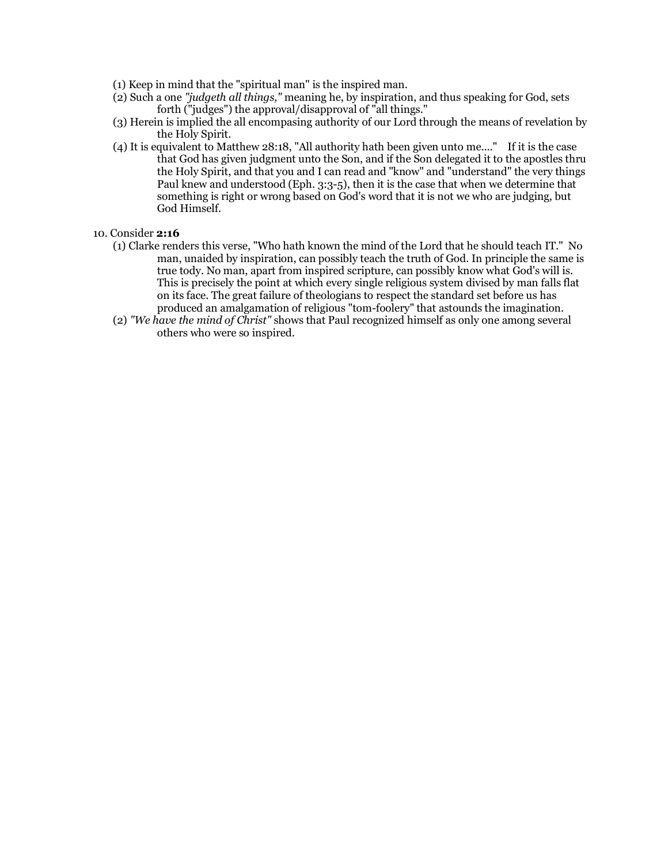- (1) Keep in mind that the "spiritual man" is the inspired man.
- (2) Such a one *"judgeth all things,"* meaning he, by inspiration, and thus speaking for God, sets forth ("judges") the approval/disapproval of "all things."
- (3) Herein is implied the all encompasing authority of our Lord through the means of revelation by the Holy Spirit.
- (4) It is equivalent to Matthew 28:18, "All authority hath been given unto me...." If it is the case that God has given judgment unto the Son, and if the Son delegated it to the apostles thru the Holy Spirit, and that you and I can read and "know" and "understand" the very things Paul knew and understood (Eph. 3:3-5), then it is the case that when we determine that something is right or wrong based on God's word that it is not we who are judging, but God Himself.
- 10. Consider **2:16**
	- (1) Clarke renders this verse, "Who hath known the mind of the Lord that he should teach IT." No man, unaided by inspiration, can possibly teach the truth of God. In principle the same is true tody. No man, apart from inspired scripture, can possibly know what God's will is. This is precisely the point at which every single religious system divised by man falls flat on its face. The great failure of theologians to respect the standard set before us has produced an amalgamation of religious "tom-foolery" that astounds the imagination.
	- (2) *"We have the mind of Christ"* shows that Paul recognized himself as only one among several others who were so inspired.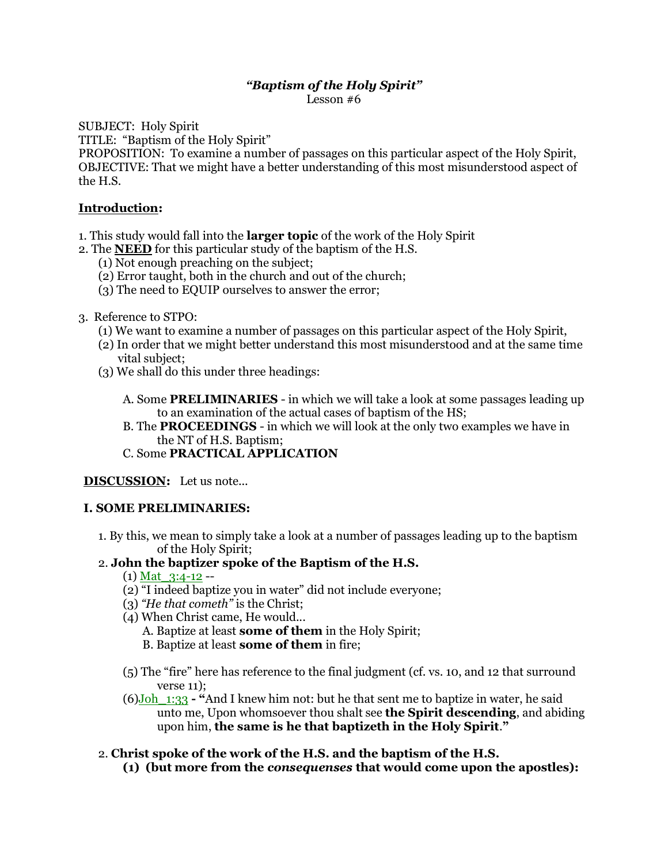# *"Baptism of the Holy Spirit"*

Lesson #6

SUBJECT: Holy Spirit

TITLE: "Baptism of the Holy Spirit"

PROPOSITION: To examine a number of passages on this particular aspect of the Holy Spirit, OBJECTIVE: That we might have a better understanding of this most misunderstood aspect of the H.S.

## **Introduction:**

- 1. This study would fall into the **larger topic** of the work of the Holy Spirit
- 2. The **NEED** for this particular study of the baptism of the H.S.
	- (1) Not enough preaching on the subject;
	- (2) Error taught, both in the church and out of the church;
	- (3) The need to EQUIP ourselves to answer the error;
- 3. Reference to STPO:
	- (1) We want to examine a number of passages on this particular aspect of the Holy Spirit,
	- (2) In order that we might better understand this most misunderstood and at the same time vital subject;
	- (3) We shall do this under three headings:

A. Some **PRELIMINARIES** - in which we will take a look at some passages leading up to an examination of the actual cases of baptism of the HS;

- B. The **PROCEEDINGS** in which we will look at the only two examples we have in the NT of H.S. Baptism;
- C. Some **PRACTICAL APPLICATION**

### **DISCUSSION:** Let us note...

### **I. SOME PRELIMINARIES:**

1. By this, we mean to simply take a look at a number of passages leading up to the baptism of the Holy Spirit;

# 2. **John the baptizer spoke of the Baptism of the H.S.**

- $(1)$  Mat  $3:4-12$  --
- (2) "I indeed baptize you in water" did not include everyone;
- (3) *"He that cometh"* is the Christ;
- (4) When Christ came, He would...
	- A. Baptize at least **some of them** in the Holy Spirit;
	- B. Baptize at least **some of them** in fire;
- (5) The "fire" here has reference to the final judgment (cf. vs. 10, and 12 that surround verse 11);
- (6)Joh\_1:33 **- "**And I knew him not: but he that sent me to baptize in water, he said unto me, Upon whomsoever thou shalt see **the Spirit descending**, and abiding upon him, **the same is he that baptizeth in the Holy Spirit**.**"**
- 2. **Christ spoke of the work of the H.S. and the baptism of the H.S.**
	- **(1) (but more from the** *consequenses* **that would come upon the apostles):**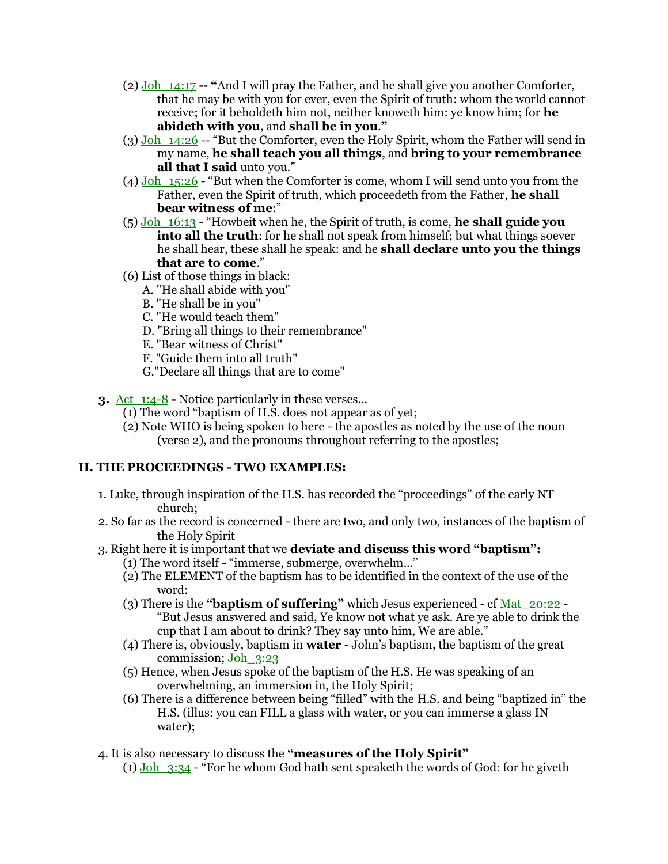- (2) Joh\_14:17 **-- "**And I will pray the Father, and he shall give you another Comforter, that he may be with you for ever, even the Spirit of truth: whom the world cannot receive; for it beholdeth him not, neither knoweth him: ye know him; for **he abideth with you**, and **shall be in you**.**"**
- $(3)$  Joh  $14:26$  -- "But the Comforter, even the Holy Spirit, whom the Father will send in my name, **he shall teach you all things**, and **bring to your remembrance all that I said** unto you."
- (4) Joh  $15:26$  "But when the Comforter is come, whom I will send unto you from the Father, even the Spirit of truth, which proceedeth from the Father, **he shall bear witness of me**:"
- (5) Joh\_16:13 "Howbeit when he, the Spirit of truth, is come, **he shall guide you into all the truth**: for he shall not speak from himself; but what things soever he shall hear, these shall he speak: and he **shall declare unto you the things that are to come**."
- (6) List of those things in black:
	- A. "He shall abide with you"
	- B. "He shall be in you"
	- C. "He would teach them"
	- D. "Bring all things to their remembrance"
	- E. "Bear witness of Christ"
	- F. "Guide them into all truth"
	- G."Declare all things that are to come"
- **3.** Act 1:4-8 **-** Notice particularly in these verses...
	- (1) The word "baptism of H.S. does not appear as of yet;
	- (2) Note WHO is being spoken to here the apostles as noted by the use of the noun (verse 2), and the pronouns throughout referring to the apostles;

### **II. THE PROCEEDINGS - TWO EXAMPLES:**

- 1. Luke, through inspiration of the H.S. has recorded the "proceedings" of the early NT church;
- 2. So far as the record is concerned there are two, and only two, instances of the baptism of the Holy Spirit
- 3. Right here it is important that we **deviate and discuss this word "baptism":**
	- (1) The word itself "immerse, submerge, overwhelm..."
	- (2) The ELEMENT of the baptism has to be identified in the context of the use of the word:
	- (3) There is the **"baptism of suffering"** which Jesus experienced cf Mat\_20:22 "But Jesus answered and said, Ye know not what ye ask. Are ye able to drink the cup that I am about to drink? They say unto him, We are able."
	- (4) There is, obviously, baptism in **water** John's baptism, the baptism of the great commission; Joh\_3:23
	- (5) Hence, when Jesus spoke of the baptism of the H.S. He was speaking of an overwhelming, an immersion in, the Holy Spirit;
	- (6) There is a difference between being "filled" with the H.S. and being "baptized in" the H.S. (illus: you can FILL a glass with water, or you can immerse a glass IN water);
- 4. It is also necessary to discuss the **"measures of the Holy Spirit"**
	- (1)  $Joh_{3:34}$  "For he whom God hath sent speaketh the words of God: for he giveth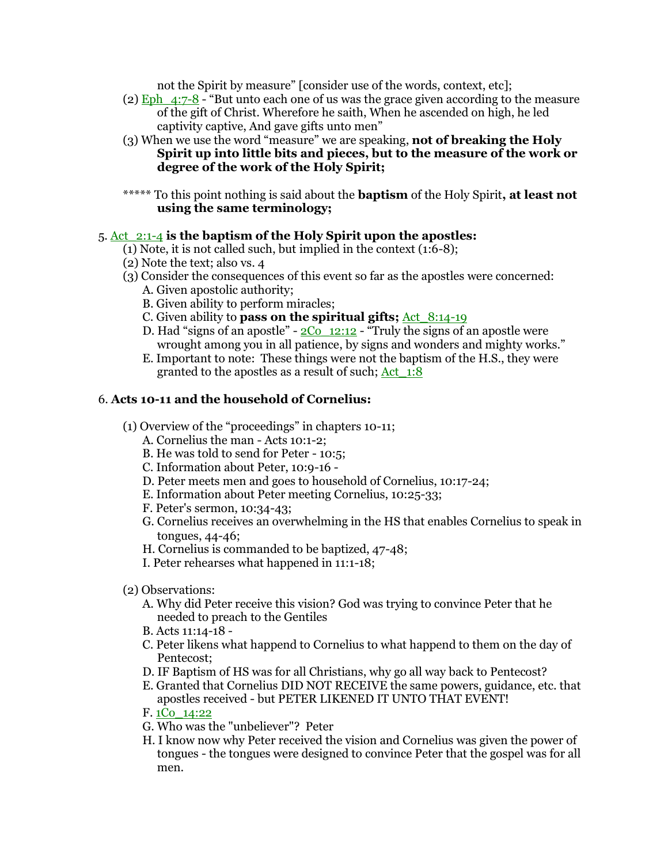not the Spirit by measure" [consider use of the words, context, etc];

- $(2)$  Eph  $4:7-8$  "But unto each one of us was the grace given according to the measure of the gift of Christ. Wherefore he saith, When he ascended on high, he led captivity captive, And gave gifts unto men"
- (3) When we use the word "measure" we are speaking, **not of breaking the Holy Spirit up into little bits and pieces, but to the measure of the work or degree of the work of the Holy Spirit;**

\*\*\*\*\* To this point nothing is said about the **baptism** of the Holy Spirit**, at least not using the same terminology;**

## 5. Act\_2:1-4 **is the baptism of the Holy Spirit upon the apostles:**

- (1) Note, it is not called such, but implied in the context (1:6-8);
- (2) Note the text; also vs. 4
- (3) Consider the consequences of this event so far as the apostles were concerned:
	- A. Given apostolic authority;
	- B. Given ability to perform miracles;
	- C. Given ability to **pass on the spiritual gifts;** Act 8:14-19
	- D. Had "signs of an apostle"  $2\overline{C_0}$  12:12 "Truly the signs of an apostle were wrought among you in all patience, by signs and wonders and mighty works."
	- E. Important to note: These things were not the baptism of the H.S., they were granted to the apostles as a result of such; Act\_1:8

## 6. **Acts 10-11 and the household of Cornelius:**

- (1) Overview of the "proceedings" in chapters 10-11;
	- A. Cornelius the man Acts 10:1-2;
	- B. He was told to send for Peter 10:5;
	- C. Information about Peter, 10:9-16 -
	- D. Peter meets men and goes to household of Cornelius, 10:17-24;
	- E. Information about Peter meeting Cornelius, 10:25-33;
	- F. Peter's sermon, 10:34-43;
	- G. Cornelius receives an overwhelming in the HS that enables Cornelius to speak in tongues, 44-46;
	- H. Cornelius is commanded to be baptized, 47-48;
	- I. Peter rehearses what happened in 11:1-18;
- (2) Observations:
	- A. Why did Peter receive this vision? God was trying to convince Peter that he needed to preach to the Gentiles
	- B. Acts 11:14-18 -
	- C. Peter likens what happend to Cornelius to what happend to them on the day of Pentecost;
	- D. IF Baptism of HS was for all Christians, why go all way back to Pentecost?
	- E. Granted that Cornelius DID NOT RECEIVE the same powers, guidance, etc. that apostles received - but PETER LIKENED IT UNTO THAT EVENT!
	- F. 1Co\_14:22
	- G. Who was the "unbeliever"? Peter
	- H. I know now why Peter received the vision and Cornelius was given the power of tongues - the tongues were designed to convince Peter that the gospel was for all men.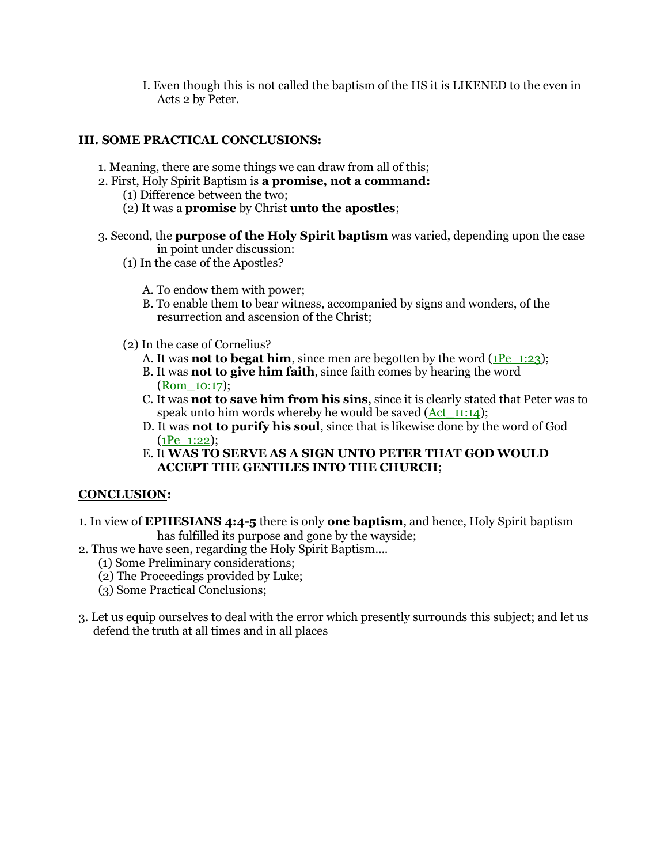I. Even though this is not called the baptism of the HS it is LIKENED to the even in Acts 2 by Peter.

### **III. SOME PRACTICAL CONCLUSIONS:**

- 1. Meaning, there are some things we can draw from all of this;
- 2. First, Holy Spirit Baptism is **a promise, not a command:**
	- (1) Difference between the two;
	- (2) It was a **promise** by Christ **unto the apostles**;
- 3. Second, the **purpose of the Holy Spirit baptism** was varied, depending upon the case in point under discussion:
	- (1) In the case of the Apostles?
		- A. To endow them with power;
		- B. To enable them to bear witness, accompanied by signs and wonders, of the resurrection and ascension of the Christ;
	- (2) In the case of Cornelius?
		- A. It was **not to begat him**, since men are begotten by the word (1Pe 1:23);
		- B. It was **not to give him faith**, since faith comes by hearing the word (Rom\_10:17);
		- C. It was **not to save him from his sins**, since it is clearly stated that Peter was to speak unto him words whereby he would be saved  $(Act_{11}:14)$ ;
		- D. It was **not to purify his soul**, since that is likewise done by the word of God (1Pe\_1:22);
		- E. It **WAS TO SERVE AS A SIGN UNTO PETER THAT GOD WOULD ACCEPT THE GENTILES INTO THE CHURCH**;

### **CONCLUSION:**

- 1. In view of **EPHESIANS 4:4-5** there is only **one baptism**, and hence, Holy Spirit baptism has fulfilled its purpose and gone by the wayside;
- 2. Thus we have seen, regarding the Holy Spirit Baptism....
	- (1) Some Preliminary considerations;
	- (2) The Proceedings provided by Luke;
	- (3) Some Practical Conclusions;
- 3. Let us equip ourselves to deal with the error which presently surrounds this subject; and let us defend the truth at all times and in all places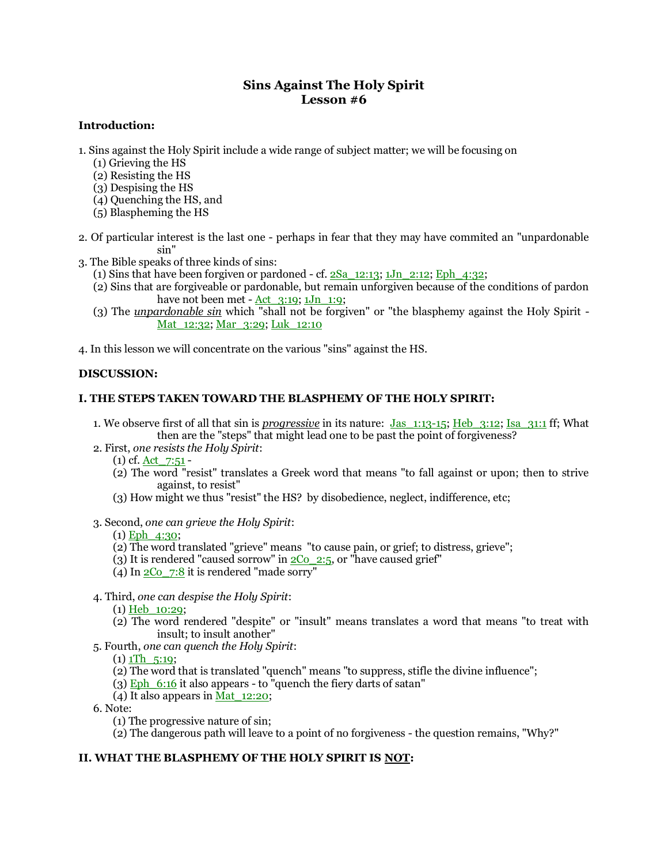### **Sins Against The Holy Spirit Lesson #6**

#### **Introduction:**

- 1. Sins against the Holy Spirit include a wide range of subject matter; we will be focusing on
	- (1) Grieving the HS
	- (2) Resisting the HS
	- (3) Despising the HS
	- (4) Quenching the HS, and
	- (5) Blaspheming the HS
- 2. Of particular interest is the last one perhaps in fear that they may have commited an "unpardonable sin"
- 3. The Bible speaks of three kinds of sins:
	- (1) Sins that have been forgiven or pardoned cf.  $2Sa$   $12:13$ ;  $1Jn$   $2:12$ ; Eph  $4:32$ ;
	- (2) Sins that are forgiveable or pardonable, but remain unforgiven because of the conditions of pardon have not been met -  $Act_{3:19}$ ;  $1Jn_{1:9}$ ;
	- (3) The *unpardonable sin* which "shall not be forgiven" or "the blasphemy against the Holy Spirit Mat<sub>12:32</sub>; Mar<sub>2:29</sub>; Luk<sub>12:10</sub>

4. In this lesson we will concentrate on the various "sins" against the HS.

#### **DISCUSSION:**

#### **I. THE STEPS TAKEN TOWARD THE BLASPHEMY OF THE HOLY SPIRIT:**

- 1. We observe first of all that sin is *progressive* in its nature: Jas\_1:13-15; Heb\_3:12; Isa\_31:1 ff; What then are the "steps" that might lead one to be past the point of forgiveness?
- 2. First, *one resists the Holy Spirit*:
	- (1) cf. Act\_7:51 -
	- (2) The word "resist" translates a Greek word that means "to fall against or upon; then to strive against, to resist"
	- (3) How might we thus "resist" the HS? by disobedience, neglect, indifference, etc;
- 3. Second, *one can grieve the Holy Spirit*:

 $(1)$  Eph  $4:30$ ;

- (2) The word translated "grieve" means "to cause pain, or grief; to distress, grieve";
- (3) It is rendered "caused sorrow" in  $2C_0$   $2:5$ , or "have caused grief"
- (4) In  $2\text{Co}$  7:8 it is rendered "made sorry"
- 4. Third, *one can despise the Holy Spirit*:

(1) Heb\_10:29;

- (2) The word rendered "despite" or "insult" means translates a word that means "to treat with insult; to insult another"
- 5. Fourth, *one can quench the Holy Spirit*:

 $(1)$  1Th  $\,$  5:19;

- (2) The word that is translated "quench" means "to suppress, stifle the divine influence";
- (3) Eph  $6:16$  it also appears to "quench the fiery darts of satan"
- (4) It also appears in  $\overline{Mat}$  12:20;

6. Note:

- (1) The progressive nature of sin;
- (2) The dangerous path will leave to a point of no forgiveness the question remains, "Why?"

#### **II. WHAT THE BLASPHEMY OF THE HOLY SPIRIT IS NOT:**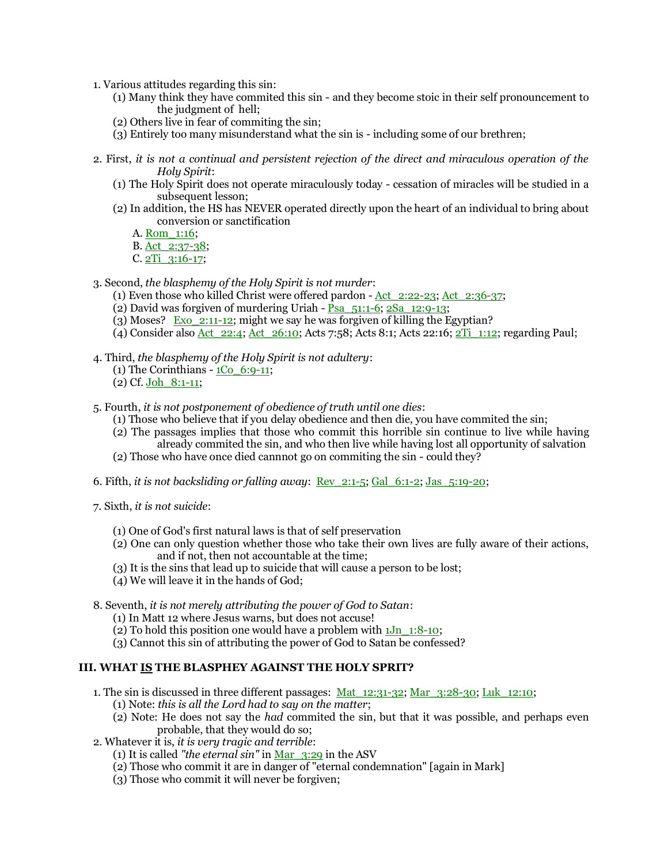1. Various attitudes regarding this sin:

- (1) Many think they have commited this sin and they become stoic in their self pronouncement to the judgment of hell;
- (2) Others live in fear of commiting the sin;
- (3) Entirely too many misunderstand what the sin is including some of our brethren;
- 2. First, *it is not a continual and persistent rejection of the direct and miraculous operation of the Holy Spirit*:
	- (1) The Holy Spirit does not operate miraculously today cessation of miracles will be studied in a subsequent lesson;
	- (2) In addition, the HS has NEVER operated directly upon the heart of an individual to bring about conversion or sanctification
		- A. Rom\_1:16;
		- B. Act\_2:37-38;
		- C. 2Ti\_3:16-17;
- 3. Second, *the blasphemy of the Holy Spirit is not murder*:
	- (1) Even those who killed Christ were offered pardon Act\_2:22-23; Act\_2:36-37;
	- (2) David was forgiven of murdering Uriah Psa\_51:1-6; 2Sa\_12:9-13;
	- (3) Moses? Exo\_2:11-12; might we say he was forgiven of killing the Egyptian?
	- (4) Consider also Act\_22:4; Act\_26:10; Acts 7:58; Acts 8:1; Acts 22:16; 2Ti\_1:12; regarding Paul;
- 4. Third, *the blasphemy of the Holy Spirit is not adultery*:
	- (1) The Corinthians  $1\text{Co}$  6:9-11;
	- (2) Cf. Joh\_8:1-11;

5. Fourth, *it is not postponement of obedience of truth until one dies*:

- (1) Those who believe that if you delay obedience and then die, you have commited the sin;
- (2) The passages implies that those who commit this horrible sin continue to live while having already commited the sin, and who then live while having lost all opportunity of salvation
- (2) Those who have once died cannnot go on commiting the sin could they?
- 6. Fifth, *it is not backsliding or falling away*: Rev\_2:1-5; Gal\_6:1-2; Jas\_5:19-20;
- 7. Sixth, *it is not suicide*:
	- (1) One of God's first natural laws is that of self preservation
	- (2) One can only question whether those who take their own lives are fully aware of their actions, and if not, then not accountable at the time;
	- (3) It is the sins that lead up to suicide that will cause a person to be lost;
	- (4) We will leave it in the hands of God;
- 8. Seventh, *it is not merely attributing the power of God to Satan*:
	- (1) In Matt 12 where Jesus warns, but does not accuse!
	- (2) To hold this position one would have a problem with  $1Jn$   $1:8-10$ ;
	- (3) Cannot this sin of attributing the power of God to Satan be confessed?

#### **III. WHAT IS THE BLASPHEY AGAINST THE HOLY SPRIT?**

- 1. The sin is discussed in three different passages: Mat\_12:31-32; Mar\_3:28-30; Luk\_12:10;
	- (1) Note: *this is all the Lord had to say on the matter*;
	- (2) Note: He does not say the *had* commited the sin, but that it was possible, and perhaps even probable, that they would do so;
- 2. Whatever it is, *it is very tragic and terrible*:
	- (1) It is called *"the eternal sin"* in Mar\_3:29 in the ASV
	- (2) Those who commit it are in danger of "eternal condemnation" [again in Mark]
	- (3) Those who commit it will never be forgiven;